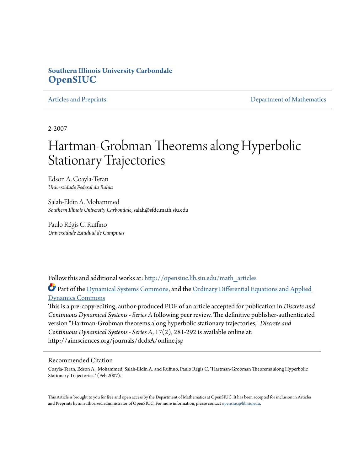### **Southern Illinois University Carbondale [OpenSIUC](http://opensiuc.lib.siu.edu?utm_source=opensiuc.lib.siu.edu%2Fmath_articles%2F56&utm_medium=PDF&utm_campaign=PDFCoverPages)**

[Articles and Preprints](http://opensiuc.lib.siu.edu/math_articles?utm_source=opensiuc.lib.siu.edu%2Fmath_articles%2F56&utm_medium=PDF&utm_campaign=PDFCoverPages) **[Department of Mathematics](http://opensiuc.lib.siu.edu/math?utm_source=opensiuc.lib.siu.edu%2Fmath_articles%2F56&utm_medium=PDF&utm_campaign=PDFCoverPages)** Department of Mathematics

2-2007

# Hartman-Grobman Theorems along Hyperbolic Stationary Trajectories

Edson A. Coayla-Teran *Universidade Federal da Bahia*

Salah-Eldin A. Mohammed *Southern Illinois University Carbondale*, salah@sfde.math.siu.edu

Paulo Régis C. Ruffino *Universidade Estadual de Campinas*

Follow this and additional works at: [http://opensiuc.lib.siu.edu/math\\_articles](http://opensiuc.lib.siu.edu/math_articles?utm_source=opensiuc.lib.siu.edu%2Fmath_articles%2F56&utm_medium=PDF&utm_campaign=PDFCoverPages)

Part of the [Dynamical Systems Commons,](http://network.bepress.com/hgg/discipline/179?utm_source=opensiuc.lib.siu.edu%2Fmath_articles%2F56&utm_medium=PDF&utm_campaign=PDFCoverPages) and the [Ordinary Differential Equations and Applied](http://network.bepress.com/hgg/discipline/121?utm_source=opensiuc.lib.siu.edu%2Fmath_articles%2F56&utm_medium=PDF&utm_campaign=PDFCoverPages) [Dynamics Commons](http://network.bepress.com/hgg/discipline/121?utm_source=opensiuc.lib.siu.edu%2Fmath_articles%2F56&utm_medium=PDF&utm_campaign=PDFCoverPages)

This is a pre-copy-editing, author-produced PDF of an article accepted for publication in *Discrete and Continuous Dynamical Systems - Series A* following peer review. The definitive publisher-authenticated version "Hartman-Grobman theorems along hyperbolic stationary trajectories," *Discrete and Continuous Dynamical Systems - Series A*, 17(2), 281-292 is available online at: http://aimsciences.org/journals/dcdsA/online.jsp

#### Recommended Citation

Coayla-Teran, Edson A., Mohammed, Salah-Eldin A. and Ruffino, Paulo Régis C. "Hartman-Grobman Theorems along Hyperbolic Stationary Trajectories." (Feb 2007).

This Article is brought to you for free and open access by the Department of Mathematics at OpenSIUC. It has been accepted for inclusion in Articles and Preprints by an authorized administrator of OpenSIUC. For more information, please contact [opensiuc@lib.siu.edu](mailto:opensiuc@lib.siu.edu).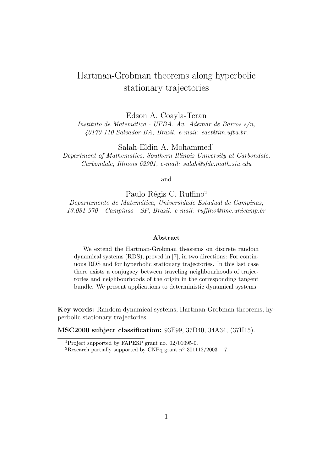## Hartman-Grobman theorems along hyperbolic stationary trajectories

Edson A. Coayla-Teran

Instituto de Matemática - UFBA. Av. Ademar de Barros  $s/n$ , 40170-110 Salvador-BA, Brazil. e-mail: eact@im.ufba.br.

 $Salah-Eldin A. Mohammed<sup>1</sup>$ 

Department of Mathematics, Southern Illinois University at Carbondale, Carbondale, Illinois 62901, e-mail: salah@sfde.math.siu.edu

and

Paulo Régis C. Ruffino<sup>2</sup> Departamento de Matemática, Universidade Estadual de Campinas, 13.081-970 - Campinas - SP, Brazil. e-mail: ruffino@ime.unicamp.br

#### Abstract

We extend the Hartman-Grobman theorems on discrete random dynamical systems (RDS), proved in [7], in two directions: For continuous RDS and for hyperbolic stationary trajectories. In this last case there exists a conjugacy between traveling neighbourhoods of trajectories and neighbourhoods of the origin in the corresponding tangent bundle. We present applications to deterministic dynamical systems.

Key words: Random dynamical systems, Hartman-Grobman theorems, hyperbolic stationary trajectories.

MSC2000 subject classification: 93E99, 37D40, 34A34, (37H15).

<sup>1</sup>Project supported by FAPESP grant no. 02/01095-0.

<sup>&</sup>lt;sup>2</sup>Research partially supported by CNPq grant  $n^{\circ}$  301112/2003 – 7.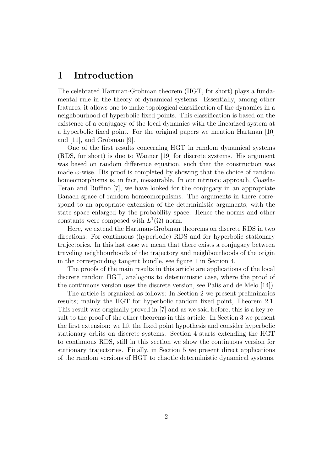### 1 Introduction

The celebrated Hartman-Grobman theorem (HGT, for short) plays a fundamental rule in the theory of dynamical systems. Essentially, among other features, it allows one to make topological classification of the dynamics in a neighbourhood of hyperbolic fixed points. This classification is based on the existence of a conjugacy of the local dynamics with the linearized system at a hyperbolic fixed point. For the original papers we mention Hartman [10] and [11], and Grobman [9].

One of the first results concerning HGT in random dynamical systems (RDS, for short) is due to Wanner [19] for discrete systems. His argument was based on random difference equation, such that the construction was made  $\omega$ -wise. His proof is completed by showing that the choice of random homeomorphisms is, in fact, measurable. In our intrinsic approach, Coayla-Teran and Ruffino [7], we have looked for the conjugacy in an appropriate Banach space of random homeomorphisms. The arguments in there correspond to an apropriate extension of the deterministic arguments, with the state space enlarged by the probability space. Hence the norms and other constants were composed with  $L^1(\Omega)$  norm.

Here, we extend the Hartman-Grobman theorems on discrete RDS in two directions: For continuous (hyperbolic) RDS and for hyperbolic stationary trajectories. In this last case we mean that there exists a conjugacy between traveling neighbourhoods of the trajectory and neighbourhoods of the origin in the corresponding tangent bundle, see figure 1 in Section 4.

The proofs of the main results in this article are applications of the local discrete random HGT, analogous to deterministic case, where the proof of the continuous version uses the discrete version, see Palis and de Melo [14]).

The article is organized as follows: In Section 2 we present preliminaries results; mainly the HGT for hyperbolic random fixed point, Theorem 2.1. This result was originally proved in [7] and as we said before, this is a key result to the proof of the other theorems in this article. In Section 3 we present the first extension: we lift the fixed point hypothesis and consider hyperbolic stationary orbits on discrete systems. Section 4 starts extending the HGT to continuous RDS, still in this section we show the continuous version for stationary trajectories. Finally, in Section 5 we present direct applications of the random versions of HGT to chaotic deterministic dynamical systems.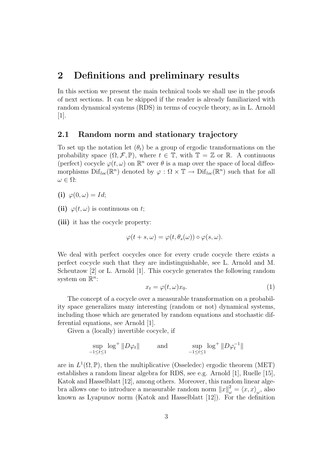### 2 Definitions and preliminary results

In this section we present the main technical tools we shall use in the proofs of next sections. It can be skipped if the reader is already familiarized with random dynamical systems (RDS) in terms of cocycle theory, as in L. Arnold [1].

### 2.1 Random norm and stationary trajectory

To set up the notation let  $(\theta_t)$  be a group of ergodic transformations on the probability space  $(\Omega, \mathcal{F}, \mathbb{P})$ , where  $t \in \mathbb{T}$ , with  $\mathbb{T} = \mathbb{Z}$  or  $\mathbb{R}$ . A continuous (perfect) cocycle  $\varphi(t,\omega)$  on  $\mathbb{R}^n$  over  $\theta$  is a map over the space of local diffeomorphisms  $\text{Dif}_{loc}(\mathbb{R}^n)$  denoted by  $\varphi : \Omega \times \mathbb{T} \to \text{Dif}_{loc}(\mathbb{R}^n)$  such that for all  $\omega \in \Omega$ :

(i)  $\varphi(0,\omega) = Id;$ 

(ii)  $\varphi(t,\omega)$  is continuous on t;

(iii) it has the cocycle property:

$$
\varphi(t+s,\omega)=\varphi(t,\theta_s(\omega))\circ\varphi(s,\omega).
$$

We deal with perfect cocycles once for every crude cocycle there exists a perfect cocycle such that they are indistinguishable, see L. Arnold and M. Scheutzow [2] or L. Arnold [1]. This cocycle generates the following random system on  $\mathbb{R}^n$ :

$$
x_t = \varphi(t, \omega)x_0. \tag{1}
$$

The concept of a cocycle over a measurable transformation on a probability space generalizes many interesting (random or not) dynamical systems, including those which are generated by random equations and stochastic differential equations, see Arnold [1].

Given a (locally) invertible cocycle, if

$$
\sup_{-1 \leq t \leq 1} \log^+ \|D\varphi_t\| \qquad \text{and} \qquad \sup_{-1 \leq t \leq 1} \log^+ \|D\varphi_t^{-1}\|
$$

are in  $L^1(\Omega, \mathbb{P})$ , then the multiplicative (Osseledec) ergodic theorem (MET) establishes a random linear algebra for RDS, see e.g. Arnold [1], Ruelle [15], Katok and Hasselblatt [12], among others. Moreover, this random linear algebra allows one to introduce a measurable random norm  $||x||_{\omega}^2 = \langle x, x \rangle_{\omega}$ , also known as Lyapunov norm (Katok and Hasselblatt [12]). For the definition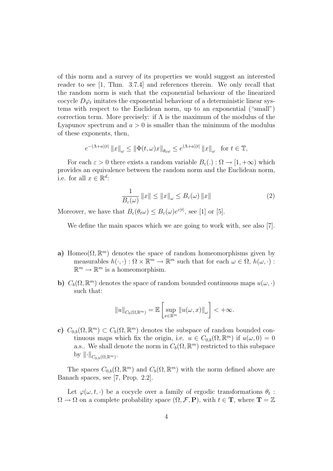of this norm and a survey of its properties we would suggest an interested reader to see [1, Thm. 3.7.4] and references therein. We only recall that the random norm is such that the exponential behaviour of the linearized cocycle  $D\varphi_t$  imitates the exponential behaviour of a deterministic linear systems with respect to the Euclidean norm, up to an exponential ("small") correction term. More precisely: if  $\Lambda$  is the maximum of the modulus of the Lyapunov spectrum and  $a > 0$  is smaller than the minimum of the modulus of these exponents, then,

$$
e^{-(\Lambda+a)|t|} \|x\|_{\omega} \le \|\Phi(t,\omega)x\|_{\theta_t\omega} \le e^{(\Lambda+a)|t|} \|x\|_{\omega} \text{ for } t \in \mathbb{T},
$$

For each  $\varepsilon > 0$  there exists a random variable  $B_{\varepsilon}$ (.) :  $\Omega \to [1, +\infty)$  which provides an equivalence between the random norm and the Euclidean norm, i.e. for all  $x \in \mathbb{R}^d$ :

$$
\frac{1}{B_{\varepsilon}(\omega)} \|x\| \le \|x\|_{\omega} \le B_{\varepsilon}(\omega) \|x\| \tag{2}
$$

Moreover, we have that  $B_{\varepsilon}(\theta_t \omega) \leq B_{\varepsilon}(\omega) e^{\varepsilon|t|}$ , see [1] or [5].

We define the main spaces which we are going to work with, see also [7].

- a) Homeo( $\Omega, \mathbb{R}^m$ ) denotes the space of random homeomorphisms given by measurables  $h(\cdot, \cdot) : \Omega \times \mathbb{R}^m \to \mathbb{R}^m$  such that for each  $\omega \in \Omega$ ,  $h(\omega, \cdot)$ :  $\mathbb{R}^m \to \mathbb{R}^m$  is a homeomorphism.
- b)  $C_b(\Omega, \mathbb{R}^m)$  denotes the space of random bounded continuous maps  $u(\omega, \cdot)$ such that:

$$
||u||_{C_b(\Omega,\mathbb{R}^m)} = \mathbb{E}\left[\sup_{x\in\mathbb{R}^m} ||u(\omega,x)||_{\omega}\right] < +\infty.
$$

c)  $C_{0,b}(\Omega,\mathbb{R}^m) \subset C_b(\Omega,\mathbb{R}^m)$  denotes the subspace of random bounded continuous maps which fix the origin, i.e.  $u \in C_{0,b}(\Omega, \mathbb{R}^m)$  if  $u(\omega, 0) = 0$ a.s.. We shall denote the norm in  $C_b(\Omega, \mathbb{R}^m)$  restricted to this subspace by  $\left\|\cdot\right\|_{C_{0,b}(\Omega,\mathbb{R}^m)}$ .

The spaces  $C_{0,b}(\Omega,\mathbb{R}^m)$  and  $C_b(\Omega,\mathbb{R}^m)$  with the norm defined above are Banach spaces, see [7, Prop. 2.2].

Let  $\varphi(\omega, t, \cdot)$  be a cocycle over a family of ergodic transformations  $\theta_t$ :  $\Omega \to \Omega$  on a complete probability space  $(\Omega, \mathcal{F}, P)$ , with  $t \in \mathbf{T}$ , where  $\mathbf{T} = \mathbb{Z}$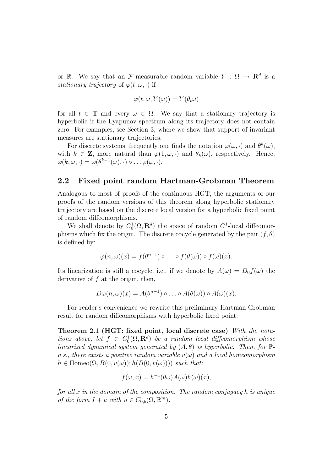or R. We say that an F-measurable random variable  $Y : \Omega \to \mathbf{R}^d$  is a stationary trajectory of  $\varphi(t,\omega,\cdot)$  if

$$
\varphi(t,\omega,Y(\omega))=Y(\theta_t\omega)
$$

for all  $t \in \mathbf{T}$  and every  $\omega \in \Omega$ . We say that a stationary trajectory is hyperbolic if the Lyapunov spectrum along its trajectory does not contain zero. For examples, see Section 3, where we show that support of invariant measures are stationary trajectories.

For discrete systems, frequently one finds the notation  $\varphi(\omega, \cdot)$  and  $\theta^k(\omega)$ , with  $k \in \mathbb{Z}$ , more natural than  $\varphi(1,\omega,\cdot)$  and  $\theta_k(\omega)$ , respectively. Hence,  $\varphi(k,\omega,\cdot)=\varphi(\theta^{k-1}(\omega),\cdot)\circ\ldots\varphi(\omega,\cdot).$ 

#### 2.2 Fixed point random Hartman-Grobman Theorem

Analogous to most of proofs of the continuous HGT, the arguments of our proofs of the random versions of this theorem along hyperbolic stationary trajectory are based on the discrete local version for a hyperbolic fixed point of random diffeomorphisms.

We shall denote by  $C_0^1(\Omega, \mathbf{R}^d)$  the space of random  $C^1$ -local diffeomorphisms which fix the origin. The discrete cocycle generated by the pair  $(f, \theta)$ is defined by:

$$
\varphi(n,\omega)(x) = f(\theta^{n-1}) \circ \ldots \circ f(\theta(\omega)) \circ f(\omega)(x).
$$

Its linearization is still a cocycle, i.e., if we denote by  $A(\omega) = D_0 f(\omega)$  the derivative of  $f$  at the origin, then,

$$
D\varphi(n,\omega)(x) = A(\theta^{n-1}) \circ \ldots \circ A(\theta(\omega)) \circ A(\omega)(x).
$$

For reader's convenience we rewrite this preliminary Hartman-Grobman result for random diffeomorphisms with hyperbolic fixed point:

Theorem 2.1 (HGT: fixed point, local discrete case) With the notations above, let  $f \in C_0^1(\Omega, \mathbf{R}^d)$  be a random local diffeomorphism whose linearized dynamical system generated by  $(A, \theta)$  is hyperbolic. Then, for  $\mathbb{P}$ a.s., there exists a positive random variable  $v(\omega)$  and a local homeomorphism  $h \in \text{Homeo}(\Omega, B(0, v(\omega)); h(B(0, v(\omega))))$  such that:

$$
f(\omega, x) = h^{-1}(\theta \omega) A(\omega) h(\omega)(x),
$$

for all x in the domain of the composition. The random conjugacy h is unique of the form  $I + u$  with  $u \in C_{0,b}(\Omega, \mathbb{R}^m)$ .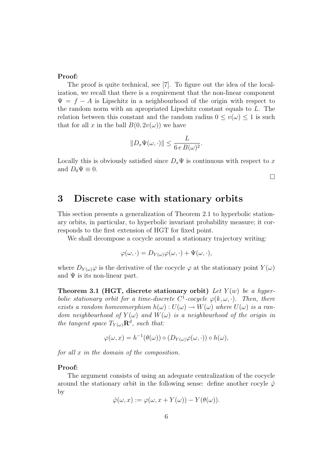#### Proof:

The proof is quite technical, see [7]. To figure out the idea of the localization, we recall that there is a requirement that the non-linear component  $\Psi = f - A$  is Lipschitz in a neighbourhood of the origin with respect to the random norm with an apropriated Lipschitz constant equals to L. The relation between this constant and the random radius  $0 \le v(\omega) \le 1$  is such that for all x in the ball  $B(0, 2v(\omega))$  we have

$$
||D_x \Psi(\omega, \cdot)|| \leq \frac{L}{6 e B(\omega)^2}.
$$

Locally this is obviously satisfied since  $D_x\Psi$  is continuous with respect to x and  $D_0\Psi \equiv 0$ .

 $\Box$ 

### 3 Discrete case with stationary orbits

This section presents a generalization of Theorem 2.1 to hyperbolic stationary orbits, in particular, to hyperbolic invariant probability measure; it corresponds to the first extension of HGT for fixed point.

We shall decompose a cocycle around a stationary trajectory writing:

$$
\varphi(\omega,\cdot)=D_{Y(\omega)}\varphi(\omega,\cdot)+\Psi(\omega,\cdot),
$$

where  $D_{Y(\omega)}\varphi$  is the derivative of the cocycle  $\varphi$  at the stationary point  $Y(\omega)$ and  $\Psi$  is its non-linear part.

Theorem 3.1 (HGT, discrete stationary orbit) Let  $Y(w)$  be a hyperbolic stationary orbit for a time-discrete  $C^1$ -cocycle  $\varphi(k,\omega,\cdot)$ . Then, there exists a random homeomorphism  $h(\omega): U(\omega) \to W(\omega)$  where  $U(\omega)$  is a random neighbourhood of  $Y(\omega)$  and  $W(\omega)$  is a neighbourhood of the origin in the tangent space  $T_{Y(\omega)}\mathbf{R}^d$ , such that:

$$
\varphi(\omega, x) = h^{-1}(\theta(\omega)) \circ (D_{Y(\omega)}\varphi(\omega, \cdot)) \circ h(\omega),
$$

for all x in the domain of the composition.

#### Proof:

The argument consists of using an adequate centralization of the cocycle around the stationary orbit in the following sense: define another cocyle  $\hat{\varphi}$ by

$$
\hat{\varphi}(\omega, x) := \varphi(\omega, x + Y(\omega)) - Y(\theta(\omega)).
$$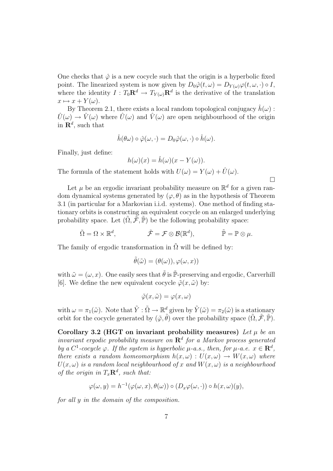One checks that  $\hat{\varphi}$  is a new cocycle such that the origin is a hyperbolic fixed point. The linearized system is now given by  $D_0\hat{\varphi}(t,\omega) = D_{Y(\omega)}\varphi(t,\omega,\cdot) \circ I$ , where the identity  $I: T_0 \mathbf{R}^d \to T_{Y(\omega)} \mathbf{R}^d$  is the derivative of the translation  $x \mapsto x + Y(\omega)$ .

By Theorem 2.1, there exists a local random topological conjugacy  $\hat{h}(\omega)$ :  $\hat{U}(\omega) \rightarrow \hat{V}(\omega)$  where  $\hat{U}(\omega)$  and  $\hat{V}(\omega)$  are open neighbourhood of the origin in  $\mathbf{R}^d$ , such that

$$
\hat{h}(\theta\omega) \circ \hat{\varphi}(\omega,\cdot) = D_0 \hat{\varphi}(\omega,\cdot) \circ \hat{h}(\omega).
$$

Finally, just define:

$$
h(\omega)(x) = \hat{h}(\omega)(x - Y(\omega)).
$$

¤

The formula of the statement holds with  $U(\omega) = Y(\omega) + \hat{U}(\omega)$ .

Let  $\mu$  be an ergodic invariant probability measure on  $\mathbb{R}^d$  for a given random dynamical systems generated by  $(\varphi, \theta)$  as in the hypothesis of Theorem 3.1 (in particular for a Markovian i.i.d. systems). One method of finding stationary orbits is constructing an equivalent cocycle on an enlarged underlying probability space. Let  $(\tilde{\Omega}, \tilde{\mathcal{F}}, \tilde{\mathbb{P}})$  be the following probability space:

$$
\tilde{\Omega} = \Omega \times \mathbb{R}^d, \qquad \qquad \tilde{\mathcal{F}} = \mathcal{F} \otimes \mathcal{B}(\mathbb{R}^d), \qquad \qquad \tilde{\mathbb{P}} = \mathbb{P} \otimes \mu.
$$

The family of ergodic transformation in  $\tilde{\Omega}$  will be defined by:

$$
\tilde{\theta}(\tilde{\omega}) = (\theta(\omega)), \varphi(\omega, x))
$$

with  $\tilde{\omega} = (\omega, x)$ . One easily sees that  $\tilde{\theta}$  is  $\tilde{\mathbb{P}}$ -preserving and ergodic, Carverhill [6]. We define the new equivalent cocycle  $\tilde{\varphi}(x,\tilde{\omega})$  by:

$$
\tilde{\varphi}(x,\tilde{\omega}) = \varphi(x,\omega)
$$

with  $\omega = \pi_1(\tilde{\omega})$ . Note that  $\tilde{Y} : \tilde{\Omega} \to \mathbb{R}^d$  given by  $\tilde{Y}(\tilde{\omega}) = \pi_2(\tilde{\omega})$  is a stationary orbit for the cocycle generated by  $(\tilde{\varphi}, \tilde{\theta})$  over the probability space  $(\tilde{\Omega}, \tilde{\mathcal{F}}, \tilde{\mathbb{P}})$ .

Corollary 3.2 (HGT on invariant probability measures) Let  $\mu$  be an invariant ergodic probability measure on  $\mathbf{R}^{d}$  for a Markov process generated by a C<sup>1</sup>-cocycle  $\varphi$ . If the system is hyperbolic  $\mu$ -a.s., then, for  $\mu$ -a.e.  $x \in \mathbb{R}^d$ , there exists a random homeomorphism  $h(x, \omega) : U(x, \omega) \to W(x, \omega)$  where  $U(x,\omega)$  is a random local neighbourhood of x and  $W(x,\omega)$  is a neighbourhood of the origin in  $T_x \mathbf{R}^d$ , such that:

$$
\varphi(\omega, y) = h^{-1}(\varphi(\omega, x), \theta(\omega)) \circ (D_x \varphi(\omega, \cdot)) \circ h(x, \omega)(y),
$$

for all y in the domain of the composition.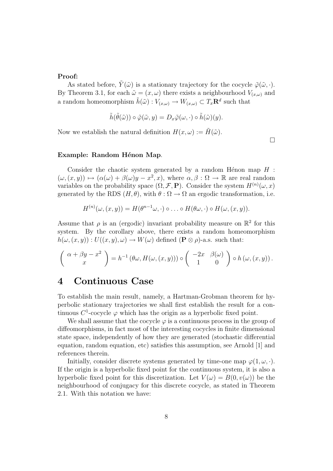#### Proof:

As stated before,  $\tilde{Y}(\tilde{\omega})$  is a stationary trajectory for the cocycle  $\tilde{\varphi}(\tilde{\omega}, \cdot)$ . By Theorem 3.1, for each  $\tilde{\omega} = (x, \omega)$  there exists a neighbourhood  $V_{(x,\omega)}$  and a random homeomorphism  $\tilde{h}(\tilde{\omega}) : V_{(x,\omega)} \to W_{(x,\omega)} \subset T_x \mathbf{R}^d$  such that

$$
\tilde{h}(\tilde{\theta}(\tilde{\omega})) \circ \tilde{\varphi}(\tilde{\omega}, y) = D_x \tilde{\varphi}(\omega, \cdot) \circ \tilde{h}(\tilde{\omega})(y).
$$

Now we establish the natural definition  $H(x,\omega) := \tilde{H}(\tilde{\omega})$ .

 $\Box$ 

#### Example: Random Hénon Map.

Consider the chaotic system generated by a random Hénon map  $H$  :  $(\omega,(x,y)) \mapsto (\alpha(\omega) + \beta(\omega)y - x^2, x),$  where  $\alpha, \beta : \Omega \to \mathbb{R}$  are real random variables on the probability space  $(\Omega, \mathcal{F}, P)$ . Consider the system  $H^{(n)}(\omega, x)$ generated by the RDS  $(H, \theta)$ , with  $\theta : \Omega \to \Omega$  an ergodic transformation, i.e.

$$
H^{(n)}(\omega,(x,y))=H(\theta^{n-1}\omega,\cdot)\circ\ldots\circ H(\theta\omega,\cdot)\circ H(\omega,(x,y)).
$$

Assume that  $\rho$  is an (ergodic) invariant probability measure on  $\mathbb{R}^2$  for this system. By the corollary above, there exists a random homeomorphism  $h(\omega,(x,y)) : U((x,y),\omega) \to W(\omega)$  defined  $(\mathbf{P} \otimes \rho)$ -a.s. such that:

$$
\left(\begin{array}{c} \alpha + \beta y - x^2 \\ x \end{array}\right) = h^{-1}(\theta \omega, H(\omega, (x, y))) \circ \left(\begin{array}{c} -2x & \beta(\omega) \\ 1 & 0 \end{array}\right) \circ h(\omega, (x, y)).
$$

### 4 Continuous Case

To establish the main result, namely, a Hartman-Grobman theorem for hyperbolic stationary trajectories we shall first establish the result for a continuous  $C^1$ -cocycle  $\varphi$  which has the origin as a hyperbolic fixed point.

We shall assume that the cocycle  $\varphi$  is a continuous process in the group of diffeomorphisms, in fact most of the interesting cocycles in finite dimensional state space, independently of how they are generated (stochastic differential equation, random equation, etc) satisfies this assumption, see Arnold [1] and references therein.

Initially, consider discrete systems generated by time-one map  $\varphi(1,\omega,\cdot)$ . If the origin is a hyperbolic fixed point for the continuous system, it is also a hyperbolic fixed point for this discretization. Let  $V(\omega) = B(0, v(\omega))$  be the neighbourhood of conjugacy for this discrete cocycle, as stated in Theorem 2.1. With this notation we have: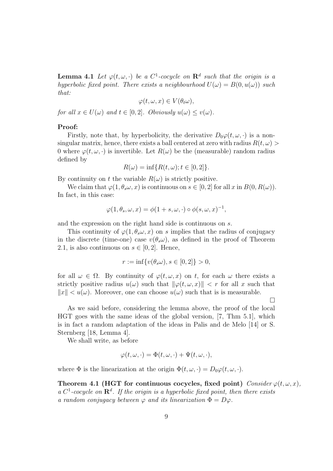**Lemma 4.1** Let  $\varphi(t,\omega,\cdot)$  be a  $C^1$ -cocycle on  $\mathbb{R}^d$  such that the origin is a hyperbolic fixed point. There exists a neighbourhood  $U(\omega) = B(0, u(\omega))$  such that:

$$
\varphi(t,\omega,x)\in V(\theta_t\omega),
$$

for all  $x \in U(\omega)$  and  $t \in [0,2]$ . Obviously  $u(\omega) \leq v(\omega)$ .

#### Proof:

Firstly, note that, by hyperbolicity, the derivative  $D_0\varphi(t,\omega,\cdot)$  is a nonsingular matrix, hence, there exists a ball centered at zero with radius  $R(t, \omega)$ 0 where  $\varphi(t,\omega,\cdot)$  is invertible. Let  $R(\omega)$  be the (measurable) random radius defined by

$$
R(\omega) = \inf \{ R(t, \omega); t \in [0, 2] \}.
$$

By continuity on t the variable  $R(\omega)$  is strictly positive.

We claim that  $\varphi(1,\theta_s\omega,x)$  is continuous on  $s\in[0,2]$  for all x in  $B(0,R(\omega))$ . In fact, in this case:

$$
\varphi(1,\theta_s,\omega,x) = \phi(1+s,\omega,\cdot) \circ \phi(s,\omega,x)^{-1},
$$

and the expression on the right hand side is continuous on s.

This continuity of  $\varphi(1,\theta_s\omega,x)$  on s implies that the radius of conjugacy in the discrete (time-one) case  $v(\theta_s\omega)$ , as defined in the proof of Theorem 2.1, is also continuous on  $s \in [0,2]$ . Hence,

$$
r := \inf \{ v(\theta_s \omega), s \in [0, 2] \} > 0,
$$

for all  $\omega \in \Omega$ . By continuity of  $\varphi(t,\omega,x)$  on t, for each  $\omega$  there exists a strictly positive radius  $u(\omega)$  such that  $\|\varphi(t,\omega,x)\| < r$  for all x such that  $||x|| < u(\omega)$ . Moreover, one can choose  $u(\omega)$  such that is is measurable.

¤

As we said before, considering the lemma above, the proof of the local HGT goes with the same ideas of the global version, [7, Thm 5.1], which is in fact a random adaptation of the ideas in Palis and de Melo [14] or S. Sternberg [18, Lemma 4].

We shall write, as before

$$
\varphi(t,\omega,\cdot) = \Phi(t,\omega,\cdot) + \Psi(t,\omega,\cdot),
$$

where  $\Phi$  is the linearization at the origin  $\Phi(t,\omega,\cdot) = D_0\varphi(t,\omega,\cdot)$ .

Theorem 4.1 (HGT for continuous cocycles, fixed point) Consider  $\varphi(t,\omega,x)$ , a  $C^1$ -cocycle on  $\mathbb{R}^d$ . If the origin is a hyperbolic fixed point, then there exists a random conjugacy between  $\varphi$  and its linearization  $\Phi = D\varphi$ .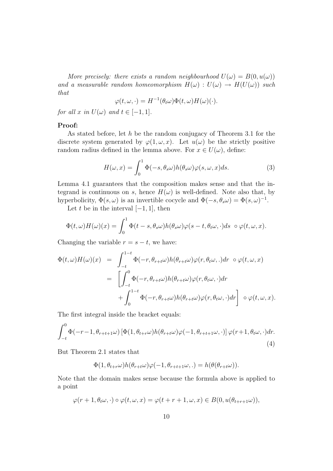More precisely: there exists a random neighbourhood  $U(\omega) = B(0, u(\omega))$ and a measurable random homeomorphism  $H(\omega) : U(\omega) \to H(U(\omega))$  such that

$$
\varphi(t,\omega,\cdot) = H^{-1}(\theta_t \omega) \Phi(t,\omega) H(\omega)(\cdot).
$$

for all x in  $U(\omega)$  and  $t \in [-1, 1]$ .

#### Proof:

As stated before, let h be the random conjugacy of Theorem 3.1 for the discrete system generated by  $\varphi(1,\omega,x)$ . Let  $u(\omega)$  be the strictly positive random radius defined in the lemma above. For  $x \in U(\omega)$ , define:

$$
H(\omega, x) = \int_0^1 \Phi(-s, \theta_s \omega) h(\theta_s \omega) \varphi(s, \omega, x) ds.
$$
 (3)

Lemma 4.1 guarantees that the composition makes sense and that the integrand is continuous on s, hence  $H(\omega)$  is well-defined. Note also that, by hyperbolicity,  $\Phi(s,\omega)$  is an invertible cocycle and  $\Phi(-s,\theta_s\omega) = \Phi(s,\omega)^{-1}$ .

Let t be in the interval  $[-1, 1]$ , then

$$
\Phi(t,\omega)H(\omega)(x) = \int_0^1 \Phi(t-s,\theta_s\omega)h(\theta_s\omega)\varphi(s-t,\theta_t\omega,\cdot)ds \ \circ \varphi(t,\omega,x).
$$

Changing the variable  $r = s - t$ , we have:

$$
\Phi(t,\omega)H(\omega)(x) = \int_{-t}^{1-t} \Phi(-r,\theta_{r+t}\omega)h(\theta_{r+t}\omega)\varphi(r,\theta_t\omega,.)dr \circ \varphi(t,\omega,x)
$$
  
\n
$$
= \left[\int_{-t}^{0} \Phi(-r,\theta_{r+t}\omega)h(\theta_{r+t}\omega)\varphi(r,\theta_t\omega,.)dr + \int_{0}^{1-t} \Phi(-r,\theta_{r+t}\omega)h(\theta_{r+t}\omega)\varphi(r,\theta_t\omega,.)dr\right] \circ \varphi(t,\omega,x).
$$

The first integral inside the bracket equals:

$$
\int_{-t}^{0} \Phi(-r-1, \theta_{r+t+1}\omega) \left[ \Phi(1, \theta_{t+r}\omega) h(\theta_{r+t}\omega) \varphi(-1, \theta_{r+t+1}\omega, \cdot) \right] \varphi(r+1, \theta_t\omega, \cdot) dr.
$$
\n(4)

But Theorem 2.1 states that

$$
\Phi(1,\theta_{t+r}\omega)h(\theta_{r+t}\omega)\varphi(-1,\theta_{r+t+1}\omega,.)=h(\theta(\theta_{r+t}\omega)).
$$

Note that the domain makes sense because the formula above is applied to a point

$$
\varphi(r+1,\theta_t\omega,\cdot)\circ\varphi(t,\omega,x)=\varphi(t+r+1,\omega,x)\in B(0,u(\theta_{t+r+1}\omega)),
$$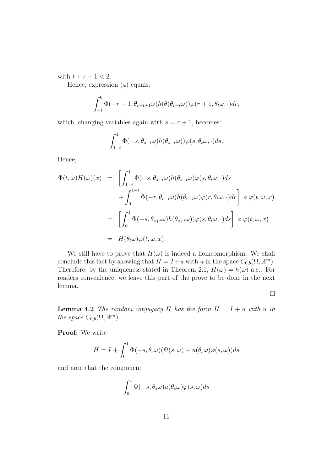with  $t + r + 1 < 2$ .

Hence, expression (4) equals:

$$
\int_{-t}^{0} \Phi(-r-1, \theta_{r+t+1}\omega) h(\theta(\theta_{r+t}\omega))\varphi(r+1, \theta_t\omega, \cdot) dr,
$$

which, changing variables again with  $s = r + 1$ , becomes:

$$
\int_{1-t}^1 \Phi(-s, \theta_{s+t}\omega) h(\theta_{s+t}\omega)) \varphi(s, \theta_t\omega, \cdot) ds.
$$

Hence,

$$
\Phi(t,\omega)H(\omega)(x) = \left[\int_{1-t}^{1} \Phi(-s,\theta_{s+t}\omega)h(\theta_{s+t}\omega)\varphi(s,\theta_t\omega,\cdot)ds \n+ \int_{0}^{1-t} \Phi(-r,\theta_{r+t}\omega)h(\theta_{r+t}\omega)\varphi(r,\theta_t\omega,\cdot)dr\right] \circ \varphi(t,\omega,x) \n= \left[\int_{0}^{1} \Phi(-s,\theta_{s+t}\omega)h(\theta_{s+t}\omega))\varphi(s,\theta_t\omega,\cdot)ds\right] \circ \varphi(t,\omega,x) \n= H(\theta_t\omega)\varphi(t,\omega,x).
$$

We still have to prove that  $H(\omega)$  is indeed a homeomorphism. We shall conclude this fact by showing that  $H = I + u$  with u in the space  $C_{0,b}(\Omega, \mathbb{R}^m)$ . Therefore, by the uniqueness stated in Theorem 2.1,  $H(\omega) = h(\omega)$  a.s.. For readers convenience, we leave this part of the prove to be done in the next lemma.

¤

**Lemma 4.2** The random conjugacy H has the form  $H = I + u$  with u in the space  $C_{0,b}(\Omega,\mathbb{R}^m)$ .

Proof: We write

$$
H = I + \int_0^1 \Phi(-s, \theta_s \omega) (\Psi(s, \omega) + u(\theta_s \omega) \varphi(s, \omega)) ds
$$

and note that the component

$$
\int_0^1 \Phi(-s,\theta_s \omega) u(\theta_s \omega) \varphi(s,\omega) ds
$$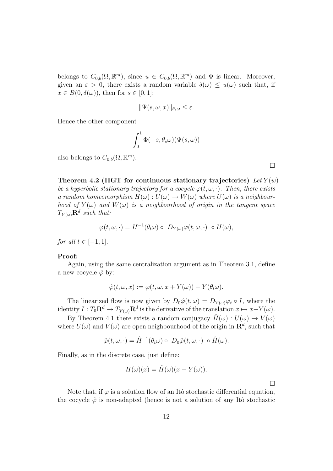belongs to  $C_{0,b}(\Omega,\mathbb{R}^m)$ , since  $u \in C_{0,b}(\Omega,\mathbb{R}^m)$  and  $\Phi$  is linear. Moreover, given an  $\varepsilon > 0$ , there exists a random variable  $\delta(\omega) \leq u(\omega)$  such that, if  $x \in B(0, \delta(\omega))$ , then for  $s \in [0, 1]$ :

$$
\|\Psi(s,\omega,x)\|_{\theta_s\omega} \leq \varepsilon.
$$

Hence the other component

$$
\int_0^1 \Phi(-s,\theta_s\omega)\big(\Psi(s,\omega))
$$

also belongs to  $C_{0,b}(\Omega,\mathbb{R}^m)$ .

Theorem 4.2 (HGT for continuous stationary trajectories) Let  $Y(w)$ be a hyperbolic stationary trajectory for a cocycle  $\varphi(t,\omega,\cdot)$ . Then, there exists a random homeomorphism  $H(\omega): U(\omega) \to W(\omega)$  where  $U(\omega)$  is a neighbourhood of  $Y(\omega)$  and  $W(\omega)$  is a neighbourhood of origin in the tangent space  $T_{Y(\omega)}\mathbf{R}^d$  such that:

$$
\varphi(t,\omega,\cdot)=H^{-1}(\theta_t\omega)\circ D_{Y(\omega)}\varphi(t,\omega,\cdot)\circ H(\omega),
$$

for all  $t \in [-1, 1]$ .

#### Proof:

Again, using the same centralization argument as in Theorem 3.1, define a new cocycle  $\hat{\varphi}$  by:

$$
\hat{\varphi}(t,\omega,x) := \varphi(t,\omega,x+Y(\omega)) - Y(\theta_t\omega).
$$

The linearized flow is now given by  $D_0\hat{\varphi}(t,\omega) = D_{Y(\omega)}\varphi_t \circ I$ , where the identity  $I: T_0 \mathbf{R}^d \to T_{Y(\omega)} \mathbf{R}^d$  is the derivative of the translation  $x \mapsto x+Y(\omega)$ .

By Theorem 4.1 there exists a random conjugacy  $\hat{H}(\omega) : U(\omega) \to V(\omega)$ where  $U(\omega)$  and  $V(\omega)$  are open neighbourhood of the origin in  $\mathbb{R}^d$ , such that

$$
\hat{\varphi}(t,\omega,\cdot)=\hat{H}^{-1}(\theta_t\omega)\circ D_0\hat{\varphi}(t,\omega,\cdot)\circ\hat{H}(\omega).
$$

Finally, as in the discrete case, just define:

$$
H(\omega)(x) = \hat{H}(\omega)(x - Y(\omega)).
$$

 $\Box$ 

Note that, if  $\varphi$  is a solution flow of an Itô stochastic differential equation, the cocycle  $\hat{\varphi}$  is non-adapted (hence is not a solution of any Itô stochastic

¤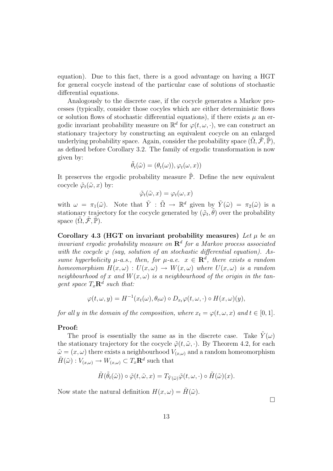equation). Due to this fact, there is a good advantage on having a HGT for general cocycle instead of the particular case of solutions of stochastic differential equations.

Analogously to the discrete case, if the cocycle generates a Markov processes (typically, consider those cocyles which are either deterministic flows or solution flows of stochastic differential equations), if there exists  $\mu$  an ergodic invariant probability measure on  $\mathbb{R}^d$  for  $\varphi(t,\omega,\cdot)$ , we can construct an stationary trajectory by constructing an equivalent cocycle on an enlarged underlying probability space. Again, consider the probability space  $(\Omega, \mathcal{F}, \mathbb{P})$ , as defined before Corollary 3.2. The family of ergodic transformation is now given by:

$$
\tilde{\theta}_t(\tilde{\omega}) = (\theta_t(\omega)), \varphi_t(\omega, x))
$$

It preserves the ergodic probability measure  $\tilde{\mathbb{P}}$ . Define the new equivalent cocycle  $\tilde{\varphi}_t(\tilde{\omega},x)$  by:

$$
\tilde{\varphi}_t(\tilde{\omega},x) = \varphi_t(\omega,x)
$$

with  $\omega = \pi_1(\tilde{\omega})$ . Note that  $\tilde{Y} : \tilde{\Omega} \to \mathbb{R}^d$  given by  $\tilde{Y}(\tilde{\omega}) = \pi_2(\tilde{\omega})$  is a stationary trajectory for the cocycle generated by  $(\tilde{\varphi}_t, \tilde{\theta})$  over the probability space  $(\Omega, \mathcal{F}, \mathbb{P})$ .

Corollary 4.3 (HGT on invariant probability measures) Let  $\mu$  be an invariant ergodic probability measure on  $\mathbb{R}^d$  for a Markov process associated with the cocycle  $\varphi$  (say, solution of an stochastic differential equation). Assume hyperbolicity  $\mu$ -a.s., then, for  $\mu$ -a.e.  $x \in \mathbb{R}^d$ , there exists a random homeomorphism  $H(x,\omega): U(x,\omega) \to W(x,\omega)$  where  $U(x,\omega)$  is a random neighbourhood of x and  $W(x, \omega)$  is a neighbourhood of the origin in the tangent space  $T_x \mathbf{R}^d$  such that:

$$
\varphi(t,\omega,y) = H^{-1}(x_t(\omega),\theta_t\omega) \circ D_{x_t}\varphi(t,\omega,\cdot) \circ H(x,\omega)(y),
$$

for all y in the domain of the composition, where  $x_t = \varphi(t, \omega, x)$  and  $t \in [0, 1]$ .

#### Proof:

The proof is essentially the same as in the discrete case. Take  $Y(\omega)$ the stationary trajectory for the cocycle  $\tilde{\varphi}(t, \tilde{\omega}, \cdot)$ . By Theorem 4.2, for each  $\tilde{\omega} = (x, \omega)$  there exists a neighbourhood  $V_{(x,\omega)}$  and a random homeomorphism  $\tilde{H}(\tilde{\omega}): V_{(x,\omega)} \to W_{(x,\omega)} \subset T_x \mathbf{R}^d$  such that

$$
\tilde{H}(\tilde{\theta}_t(\tilde{\omega})) \circ \tilde{\varphi}(t,\tilde{\omega},x) = T_{\tilde{Y}(\tilde{\omega})} \tilde{\varphi}(t,\omega,\cdot) \circ \tilde{H}(\tilde{\omega})(x).
$$

Now state the natural definition  $H(x,\omega) = \tilde{H}(\tilde{\omega})$ .

 $\Box$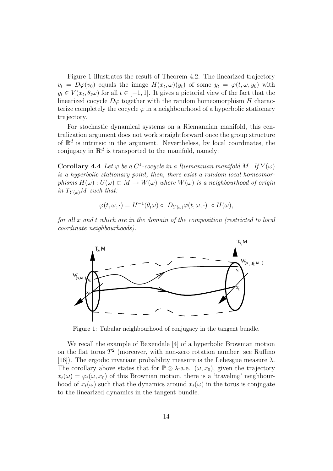Figure 1 illustrates the result of Theorem 4.2. The linearized trajectory  $v_t = D\varphi(v_0)$  equals the image  $H(x_t, \omega)(y_t)$  of some  $y_t = \varphi(t, \omega, y_0)$  with  $y_t \in V(x_t, \theta_t \omega)$  for all  $t \in [-1, 1]$ . It gives a pictorial view of the fact that the linearized cocycle  $D\varphi$  together with the random homeomorphism H characterize completely the cocycle  $\varphi$  in a neighbourhood of a hyperbolic stationary trajectory.

For stochastic dynamical systems on a Riemannian manifold, this centralization argument does not work straightforward once the group structure of  $\mathbb{R}^d$  is intrinsic in the argument. Nevertheless, by local coordinates, the conjugacy in  $\mathbb{R}^d$  is transported to the manifold, namely:

**Corollary 4.4** Let  $\varphi$  be a  $C^1$ -cocycle in a Riemannian manifold M. If  $Y(\omega)$ is a hyperbolic stationary point, then, there exist a random local homeomorphisms  $H(\omega): U(\omega) \subset M \to W(\omega)$  where  $W(\omega)$  is a neighbourhood of origin in  $T_{Y(\omega)}M$  such that:

$$
\varphi(t,\omega,\cdot)=H^{-1}(\theta_t\omega)\circ D_{Y(\omega)}\varphi(t,\omega,\cdot)\circ H(\omega),
$$

for all x and t which are in the domain of the composition (restricted to local coordinate neighbourhoods).



Figure 1: Tubular neighbourhood of conjugacy in the tangent bundle.

We recall the example of Baxendale [4] of a hyperbolic Brownian motion on the flat torus  $T^2$  (moreover, with non-zero rotation number, see Ruffino [16]). The ergodic invariant probability measure is the Lebesgue measure  $\lambda$ . The corollary above states that for  $\mathbb{P} \otimes \lambda$ -a.e.  $(\omega, x_0)$ , given the trajectory  $x_t(\omega) = \varphi_t(\omega, x_0)$  of this Brownian motion, there is a 'traveling' neighbourhood of  $x_t(\omega)$  such that the dynamics around  $x_t(\omega)$  in the torus is conjugate to the linearized dynamics in the tangent bundle.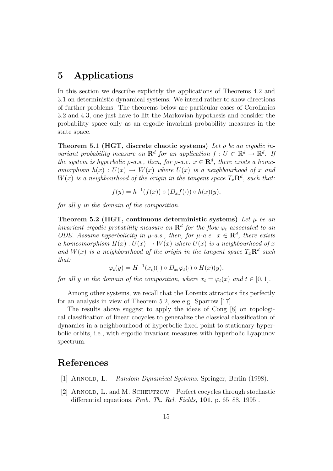### 5 Applications

In this section we describe explicitly the applications of Theorems 4.2 and 3.1 on deterministic dynamical systems. We intend rather to show directions of further problems. The theorems below are particular cases of Corollaries 3.2 and 4.3, one just have to lift the Markovian hypothesis and consider the probability space only as an ergodic invariant probability measures in the state space.

Theorem 5.1 (HGT, discrete chaotic systems) Let  $\rho$  be an ergodic invariant probability measure on  $\mathbf{R}^d$  for an application  $f: U \subset \mathbb{R}^d \to \mathbb{R}^d$ . If the system is hyperbolic  $\rho$ -a.s., then, for  $\rho$ -a.e.  $x \in \mathbb{R}^d$ , there exists a homeomorphism  $h(x) : U(x) \to W(x)$  where  $U(x)$  is a neighbourhood of x and  $W(x)$  is a neighbourhood of the origin in the tangent space  $T_x\mathbf{R}^d$ , such that:

$$
f(y) = h^{-1}(f(x)) \circ (D_x f(\cdot)) \circ h(x)(y),
$$

for all y in the domain of the composition.

Theorem 5.2 (HGT, continuous deterministic systems) Let  $\mu$  be an invariant ergodic probability measure on  $\mathbf{R}^{d}$  for the flow  $\varphi_t$  associated to an ODE. Assume hyperbolicity in  $\mu$ -a.s., then, for  $\mu$ -a.e.  $x \in \mathbb{R}^d$ , there exists a homeomorphism  $H(x): U(x) \to W(x)$  where  $U(x)$  is a neighbourhood of x and  $W(x)$  is a neighbourhood of the origin in the tangent space  $T_x\mathbf{R}^d$  such that:

$$
\varphi_t(y) = H^{-1}(x_t)(\cdot) \circ D_{x_t} \varphi_t(\cdot) \circ H(x)(y),
$$

for all y in the domain of the composition, where  $x_t = \varphi_t(x)$  and  $t \in [0,1]$ .

Among other systems, we recall that the Lorentz attractors fits perfectly for an analysis in view of Theorem 5.2, see e.g. Sparrow [17].

The results above suggest to apply the ideas of Cong [8] on topological classification of linear cocycles to generalize the classical classification of dynamics in a neighbourhood of hyperbolic fixed point to stationary hyperbolic orbits, i.e., with ergodic invariant measures with hyperbolic Lyapunov spectrum.

### References

- [1] ARNOLD, L. Random Dynamical Systems. Springer, Berlin (1998).
- [2] Arnold, L. and M. Scheutzow Perfect cocycles through stochastic differential equations. Prob. Th. Rel. Fields, 101, p. 65–88, 1995.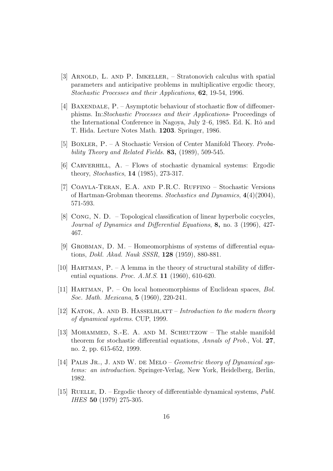- [3] Arnold, L. and P. Imkeller, Stratonovich calculus with spatial parameters and anticipative problems in multiplicative ergodic theory, Stochastic Processes and their Applications, 62, 19-54, 1996.
- [4] BAXENDALE, P. Asymptotic behaviour of stochastic flow of diffeomerphisms. In:Stochastic Processes and their Applications- Proceedings of the International Conference in Nagoya, July 2–6, 1985. Ed. K. Itô and T. Hida. Lecture Notes Math. 1203. Springer, 1986.
- [5] Boxler, P. A Stochastic Version of Center Manifold Theory. Probability Theory and Related Fields. 83, (1989), 509-545.
- [6] Carverhill, A. Flows of stochastic dynamical systems: Ergodic theory, Stochastics, 14 (1985), 273-317.
- [7] Coayla-Teran, E.A. and P.R.C. Ruffino Stochastic Versions of Hartman-Grobman theorems. Stochastics and Dynamics, 4(4)(2004), 571-593.
- [8] Cong, N. D. Topological classification of linear hyperbolic cocycles, Journal of Dynamics and Differential Equations, 8, no. 3 (1996), 427- 467.
- [9] GROBMAN, D. M. Homeomorphisms of systems of differential equations, Dokl. Akad. Nauk SSSR, 128 (1959), 880-881.
- [10] HARTMAN,  $P A$  lemma in the theory of structural stability of differential equations. *Proc. A.M.S.* **11** (1960), 610-620.
- [11] HARTMAN,  $P. On local homeomorphisms of Euclidean spaces, Bol.$ Soc. Math. Mexicana, 5 (1960), 220-241.
- [12] KATOK, A. AND B. HASSELBLATT Introduction to the modern theory of dynamical systems. CUP, 1999.
- [13] Mohammed, S.-E. A. and M. Scheutzow The stable manifold theorem for stochastic differential equations, Annals of Prob., Vol. 27, no. 2, pp. 615-652, 1999.
- [14] PALIS JR., J. AND W. DE MELO Geometric theory of Dynamical systems: an introduction. Springer-Verlag, New York, Heidelberg, Berlin, 1982.
- [15] RUELLE, D. Ergodic theory of differentiable dynamical systems,  $Publ$ . IHES 50 (1979) 275-305.